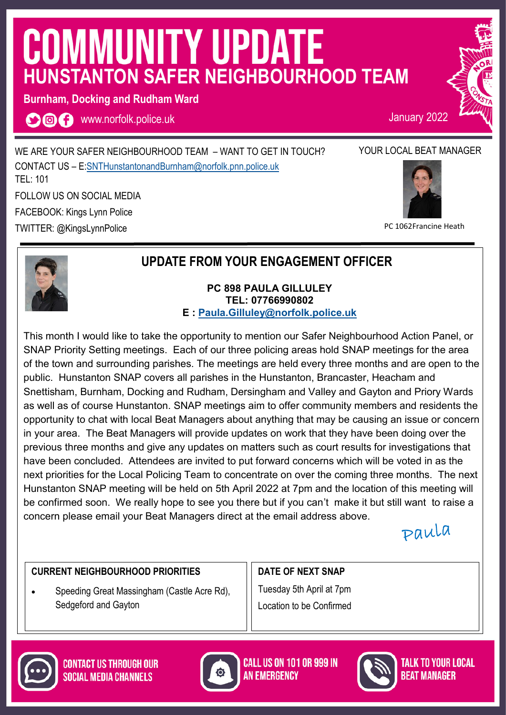# **COMMUNITY UPDATE HUNSTANTON SAFER NEIGHBOURHOOD TEAM**

**Burnham, Docking and Rudham Ward**

**OOO** www.norfolk.police.uk

WE ARE YOUR SAFER NEIGHBOURHOOD TEAM – WANT TO GET IN TOUCH? CONTACT US – E:[SNTHunstantonandBurnham@norfolk.pnn.police.uk](mailto:SNTHunstantonandBurnham@norfolk.pnn.police.uk) TEL: 101 FOLLOW US ON SOCIAL MEDIA

FACEBOOK: Kings Lynn Police

TWITTER: @KingsLynnPolice



January 2022



PC 1062Francine Heath



# **UPDATE FROM YOUR ENGAGEMENT OFFICER**

#### **PC 898 PAULA GILLULEY TEL: 07766990802 E : [Paula.Gilluley@norfolk.police.uk](mailto:Paula.Gilluley@norfolk.pnn.police.uk)**

This month I would like to take the opportunity to mention our Safer Neighbourhood Action Panel, or SNAP Priority Setting meetings. Each of our three policing areas hold SNAP meetings for the area of the town and surrounding parishes. The meetings are held every three months and are open to the public. Hunstanton SNAP covers all parishes in the Hunstanton, Brancaster, Heacham and Snettisham, Burnham, Docking and Rudham, Dersingham and Valley and Gayton and Priory Wards as well as of course Hunstanton. SNAP meetings aim to offer community members and residents the opportunity to chat with local Beat Managers about anything that may be causing an issue or concern in your area. The Beat Managers will provide updates on work that they have been doing over the previous three months and give any updates on matters such as court results for investigations that have been concluded. Attendees are invited to put forward concerns which will be voted in as the next priorities for the Local Policing Team to concentrate on over the coming three months. The next Hunstanton SNAP meeting will be held on 5th April 2022 at 7pm and the location of this meeting will be confirmed soon. We really hope to see you there but if you can't make it but still want to raise a concern please email your Beat Managers direct at the email address above.

Paula

TALK TO YOUR LOCAL

*Reat Manager* 

## **CURRENT NEIGHBOURHOOD PRIORITIES**

• Speeding Great Massingham (Castle Acre Rd), Sedgeford and Gayton

**DATE OF NEXT SNAP**  Tuesday 5th April at 7pm Location to be Confirmed





**CALL US ON 101 OR 999 IN AN FMFRGFNCY**